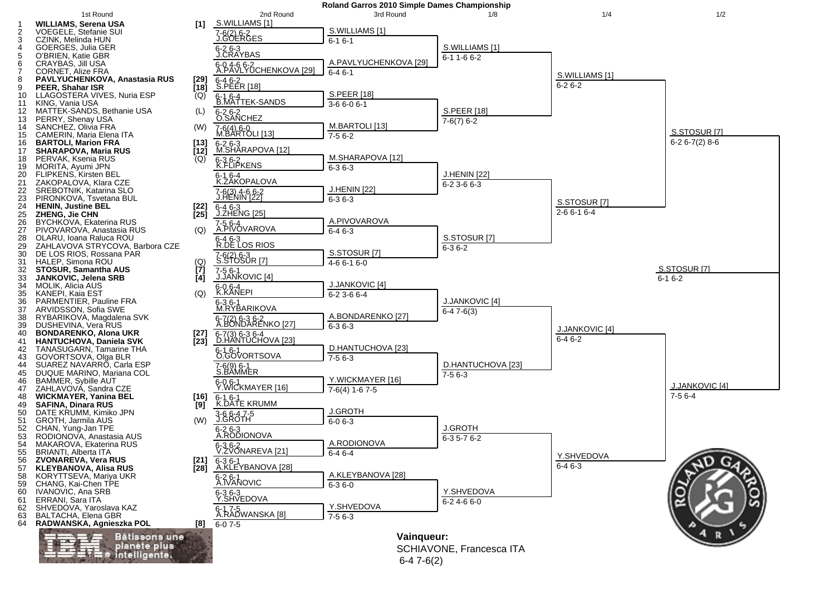